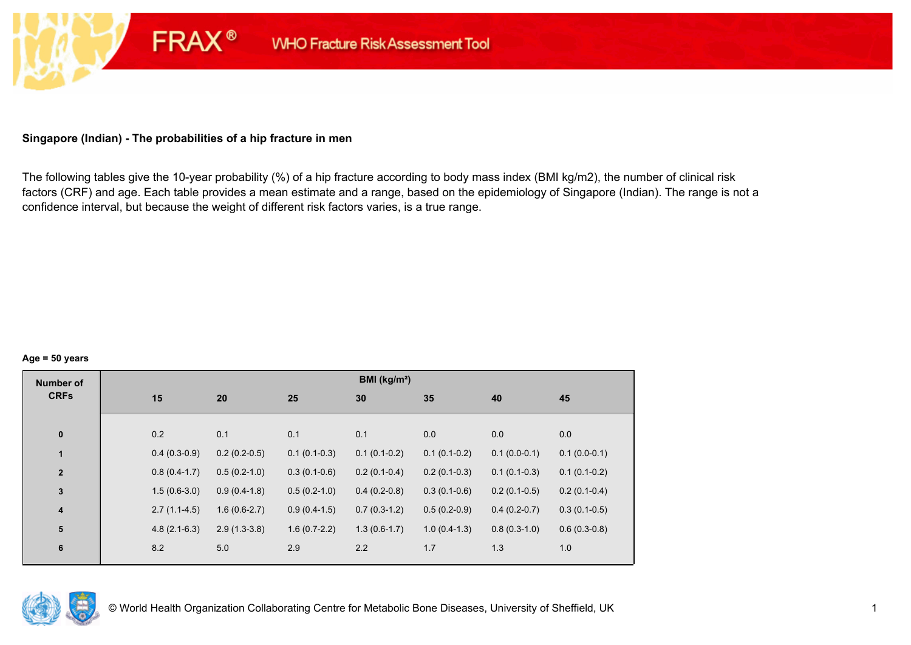# **Singapore (Indian) - The probabilities of a hip fracture in men**

**FRAX®** 

The following tables give the 10-year probability (%) of a hip fracture according to body mass index (BMI kg/m2), the number of clinical risk factors (CRF) and age. Each table provides a mean estimate and a range, based on the epidemiology of Singapore (Indian). The range is not a confidence interval, but because the weight of different risk factors varies, is a true range.

#### **Age = 50 years**

| <b>Number of</b> |                |                |                | BMI (kg/m <sup>2</sup> ) |                |                |                |
|------------------|----------------|----------------|----------------|--------------------------|----------------|----------------|----------------|
| <b>CRFs</b>      | 15             | 20             | 25             | 30                       | 35             | 40             | 45             |
|                  |                |                |                |                          |                |                |                |
| $\pmb{0}$        | 0.2            | 0.1            | 0.1            | 0.1                      | 0.0            | 0.0            | 0.0            |
| $\mathbf{1}$     | $0.4(0.3-0.9)$ | $0.2(0.2-0.5)$ | $0.1(0.1-0.3)$ | $0.1(0.1-0.2)$           | $0.1(0.1-0.2)$ | $0.1(0.0-0.1)$ | $0.1(0.0-0.1)$ |
| $\mathbf{2}$     | $0.8(0.4-1.7)$ | $0.5(0.2-1.0)$ | $0.3(0.1-0.6)$ | $0.2(0.1-0.4)$           | $0.2(0.1-0.3)$ | $0.1(0.1-0.3)$ | $0.1(0.1-0.2)$ |
| $\mathbf 3$      | $1.5(0.6-3.0)$ | $0.9(0.4-1.8)$ | $0.5(0.2-1.0)$ | $0.4(0.2-0.8)$           | $0.3(0.1-0.6)$ | $0.2(0.1-0.5)$ | $0.2(0.1-0.4)$ |
| $\boldsymbol{4}$ | $2.7(1.1-4.5)$ | $1.6(0.6-2.7)$ | $0.9(0.4-1.5)$ | $0.7(0.3-1.2)$           | $0.5(0.2-0.9)$ | $0.4(0.2-0.7)$ | $0.3(0.1-0.5)$ |
| 5                | $4.8(2.1-6.3)$ | $2.9(1.3-3.8)$ | $1.6(0.7-2.2)$ | $1.3(0.6-1.7)$           | $1.0(0.4-1.3)$ | $0.8(0.3-1.0)$ | $0.6(0.3-0.8)$ |
| $\bf 6$          | 8.2            | 5.0            | 2.9            | 2.2                      | 1.7            | 1.3            | 1.0            |

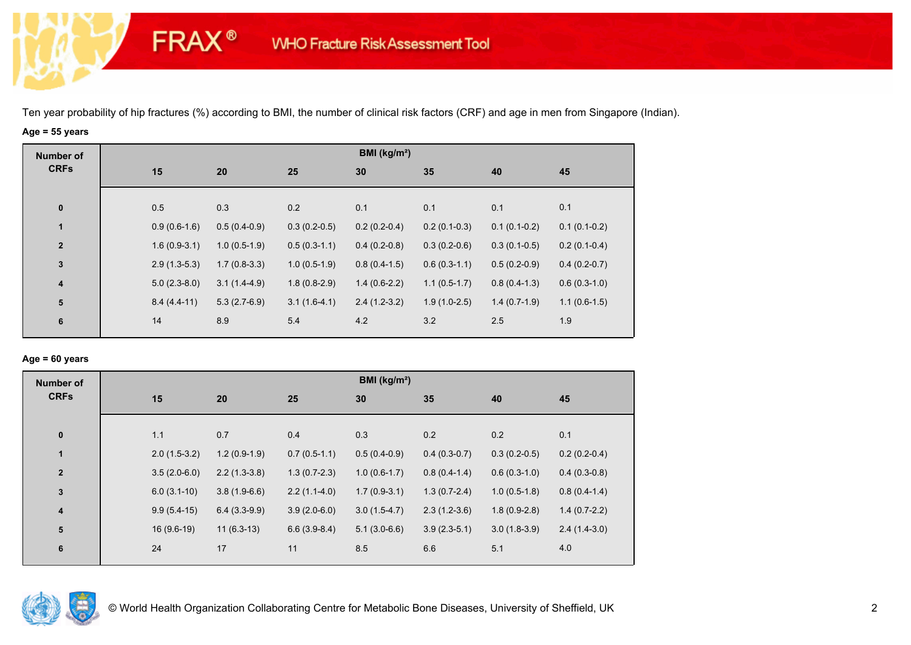# **Age = 55 years**

**FRAX®** 

| <b>Number of</b>        |                |                |                | BMI ( $kg/m2$ ) |                |                |                |
|-------------------------|----------------|----------------|----------------|-----------------|----------------|----------------|----------------|
| <b>CRFs</b>             | 15             | 20             | 25             | 30              | 35             | 40             | 45             |
|                         |                |                |                |                 |                |                |                |
| $\mathbf 0$             | 0.5            | 0.3            | 0.2            | 0.1             | 0.1            | 0.1            | 0.1            |
| $\mathbf{1}$            | $0.9(0.6-1.6)$ | $0.5(0.4-0.9)$ | $0.3(0.2-0.5)$ | $0.2(0.2-0.4)$  | $0.2(0.1-0.3)$ | $0.1(0.1-0.2)$ | $0.1(0.1-0.2)$ |
| $\overline{2}$          | $1.6(0.9-3.1)$ | $1.0(0.5-1.9)$ | $0.5(0.3-1.1)$ | $0.4(0.2-0.8)$  | $0.3(0.2-0.6)$ | $0.3(0.1-0.5)$ | $0.2(0.1-0.4)$ |
| $\mathbf{3}$            | $2.9(1.3-5.3)$ | $1.7(0.8-3.3)$ | $1.0(0.5-1.9)$ | $0.8(0.4-1.5)$  | $0.6(0.3-1.1)$ | $0.5(0.2-0.9)$ | $0.4(0.2-0.7)$ |
| $\overline{\mathbf{4}}$ | $5.0(2.3-8.0)$ | $3.1(1.4-4.9)$ | $1.8(0.8-2.9)$ | $1.4(0.6-2.2)$  | $1.1(0.5-1.7)$ | $0.8(0.4-1.3)$ | $0.6(0.3-1.0)$ |
| 5                       | $8.4(4.4-11)$  | $5.3(2.7-6.9)$ | $3.1(1.6-4.1)$ | $2.4(1.2-3.2)$  | $1.9(1.0-2.5)$ | $1.4(0.7-1.9)$ | $1.1(0.6-1.5)$ |
| 6                       | 14             | 8.9            | 5.4            | 4.2             | 3.2            | 2.5            | 1.9            |
|                         |                |                |                |                 |                |                |                |

### **Age = 60 years**

| <b>Number of</b> |                |                |                | BMI ( $kg/m2$ ) |                |                |                |
|------------------|----------------|----------------|----------------|-----------------|----------------|----------------|----------------|
| <b>CRFs</b>      | 15             | 20             | 25             | 30              | 35             | 40             | 45             |
|                  |                |                |                |                 |                |                |                |
| $\pmb{0}$        | 1.1            | 0.7            | 0.4            | 0.3             | 0.2            | 0.2            | 0.1            |
| $\mathbf{1}$     | $2.0(1.5-3.2)$ | $1.2(0.9-1.9)$ | $0.7(0.5-1.1)$ | $0.5(0.4-0.9)$  | $0.4(0.3-0.7)$ | $0.3(0.2-0.5)$ | $0.2(0.2-0.4)$ |
| $\overline{2}$   | $3.5(2.0-6.0)$ | $2.2(1.3-3.8)$ | $1.3(0.7-2.3)$ | $1.0(0.6-1.7)$  | $0.8(0.4-1.4)$ | $0.6(0.3-1.0)$ | $0.4(0.3-0.8)$ |
| 3                | $6.0(3.1-10)$  | $3.8(1.9-6.6)$ | $2.2(1.1-4.0)$ | $1.7(0.9-3.1)$  | $1.3(0.7-2.4)$ | $1.0(0.5-1.8)$ | $0.8(0.4-1.4)$ |
| 4                | $9.9(5.4-15)$  | $6.4(3.3-9.9)$ | $3.9(2.0-6.0)$ | $3.0(1.5-4.7)$  | $2.3(1.2-3.6)$ | $1.8(0.9-2.8)$ | $1.4(0.7-2.2)$ |
| 5                | $16(9.6-19)$   | $11(6.3-13)$   | $6.6(3.9-8.4)$ | $5.1(3.0-6.6)$  | $3.9(2.3-5.1)$ | $3.0(1.8-3.9)$ | $2.4(1.4-3.0)$ |
| 6                | 24             | 17             | 11             | 8.5             | 6.6            | 5.1            | 4.0            |

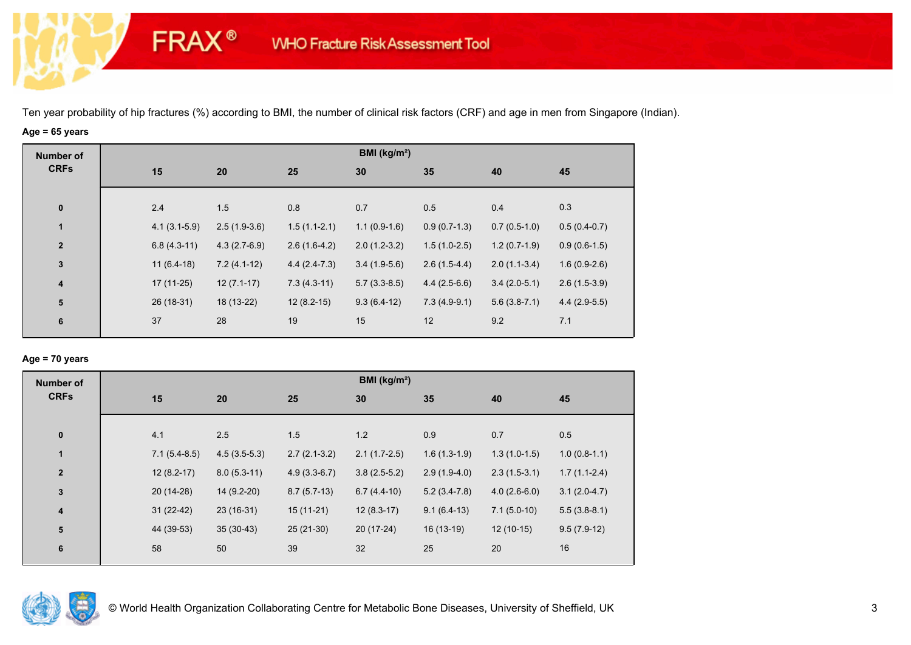# **Age = 65 years**

**FRAX®** 

| <b>Number of</b>        | BMI (kg/m <sup>2</sup> ) |                |                |                |                |                |                |                |  |
|-------------------------|--------------------------|----------------|----------------|----------------|----------------|----------------|----------------|----------------|--|
| <b>CRFs</b>             |                          | 15             | 20             | 25             | 30             | 35             | 40             | 45             |  |
|                         |                          |                |                |                |                |                |                |                |  |
| $\bf{0}$                |                          | 2.4            | 1.5            | 0.8            | 0.7            | 0.5            | 0.4            | 0.3            |  |
| $\mathbf{1}$            |                          | $4.1(3.1-5.9)$ | $2.5(1.9-3.6)$ | $1.5(1.1-2.1)$ | $1.1(0.9-1.6)$ | $0.9(0.7-1.3)$ | $0.7(0.5-1.0)$ | $0.5(0.4-0.7)$ |  |
| $\mathbf{2}$            |                          | $6.8(4.3-11)$  | $4.3(2.7-6.9)$ | $2.6(1.6-4.2)$ | $2.0(1.2-3.2)$ | $1.5(1.0-2.5)$ | $1.2(0.7-1.9)$ | $0.9(0.6-1.5)$ |  |
| $\mathbf{3}$            |                          | $11(6.4-18)$   | $7.2(4.1-12)$  | $4.4(2.4-7.3)$ | $3.4(1.9-5.6)$ | $2.6(1.5-4.4)$ | $2.0(1.1-3.4)$ | $1.6(0.9-2.6)$ |  |
| $\overline{\mathbf{4}}$ |                          | $17(11-25)$    | $12(7.1-17)$   | $7.3(4.3-11)$  | $5.7(3.3-8.5)$ | $4.4(2.5-6.6)$ | $3.4(2.0-5.1)$ | $2.6(1.5-3.9)$ |  |
| ${\bf 5}$               |                          | 26 (18-31)     | 18 (13-22)     | $12(8.2-15)$   | $9.3(6.4-12)$  | $7.3(4.9-9.1)$ | $5.6(3.8-7.1)$ | $4.4(2.9-5.5)$ |  |
| 6                       |                          | 37             | 28             | 19             | 15             | 12             | 9.2            | 7.1            |  |
|                         |                          |                |                |                |                |                |                |                |  |

### **Age = 70 years**

| <b>Number of</b> |                |                |                | BMI ( $kg/m2$ ) |                |                |                |
|------------------|----------------|----------------|----------------|-----------------|----------------|----------------|----------------|
| <b>CRFs</b>      | 15             | 20             | 25             | 30              | 35             | 40             | 45             |
|                  |                |                |                |                 |                |                |                |
| $\bf{0}$         | 4.1            | 2.5            | 1.5            | 1.2             | 0.9            | 0.7            | 0.5            |
| $\mathbf{1}$     | $7.1(5.4-8.5)$ | $4.5(3.5-5.3)$ | $2.7(2.1-3.2)$ | $2.1(1.7-2.5)$  | $1.6(1.3-1.9)$ | $1.3(1.0-1.5)$ | $1.0(0.8-1.1)$ |
| $\overline{2}$   | $12(8.2-17)$   | $8.0(5.3-11)$  | $4.9(3.3-6.7)$ | $3.8(2.5-5.2)$  | $2.9(1.9-4.0)$ | $2.3(1.5-3.1)$ | $1.7(1.1-2.4)$ |
| $\mathbf{3}$     | $20(14-28)$    | 14 (9.2-20)    | $8.7(5.7-13)$  | $6.7(4.4-10)$   | $5.2(3.4-7.8)$ | $4.0(2.6-6.0)$ | $3.1(2.0-4.7)$ |
| $\boldsymbol{4}$ | $31(22-42)$    | $23(16-31)$    | $15(11-21)$    | $12(8.3-17)$    | $9.1(6.4-13)$  | $7.1(5.0-10)$  | $5.5(3.8-8.1)$ |
| 5                | 44 (39-53)     | $35(30-43)$    | $25(21-30)$    | $20(17-24)$     | 16 (13-19)     | $12(10-15)$    | $9.5(7.9-12)$  |
| 6                | 58             | 50             | 39             | 32              | 25             | 20             | 16             |
|                  |                |                |                |                 |                |                |                |

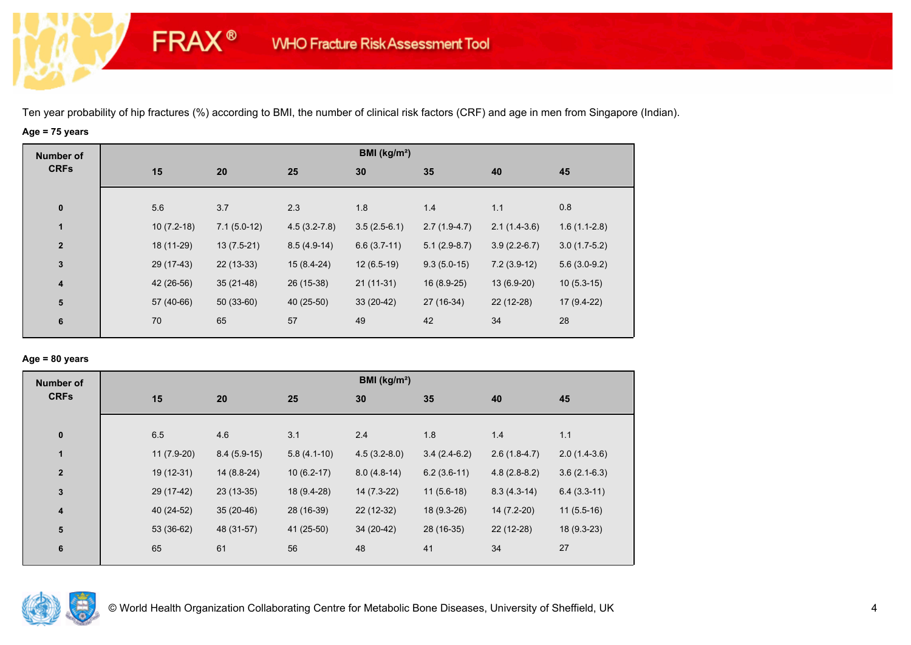# **Age = 75 years**

**FRAX®** 

| <b>Number of</b> |              |               |                  | BMI ( $kg/m2$ ) |                |                |                |
|------------------|--------------|---------------|------------------|-----------------|----------------|----------------|----------------|
| <b>CRFs</b>      | 15           | 20            | 25               | 30              | 35             | 40             | 45             |
| $\bf{0}$         | 5.6          | 3.7           | 2.3              | 1.8             | 1.4            | 1.1            | 0.8            |
| $\mathbf{1}$     | $10(7.2-18)$ | $7.1(5.0-12)$ | $4.5(3.2 - 7.8)$ | $3.5(2.5-6.1)$  | $2.7(1.9-4.7)$ | $2.1(1.4-3.6)$ | $1.6(1.1-2.8)$ |
| $\overline{2}$   | 18 (11-29)   | $13(7.5-21)$  | $8.5(4.9-14)$    | $6.6(3.7-11)$   | $5.1(2.9-8.7)$ | $3.9(2.2-6.7)$ | $3.0(1.7-5.2)$ |
| $\mathbf{3}$     | 29 (17-43)   | $22(13-33)$   | $15(8.4-24)$     | $12(6.5-19)$    | $9.3(5.0-15)$  | $7.2(3.9-12)$  | $5.6(3.0-9.2)$ |
| 4                | 42 (26-56)   | $35(21-48)$   | 26 (15-38)       | $21(11-31)$     | $16(8.9-25)$   | 13 (6.9-20)    | $10(5.3-15)$   |
| ${\bf 5}$        | 57 (40-66)   | $50(33-60)$   | 40 (25-50)       | $33(20-42)$     | 27 (16-34)     | $22(12-28)$    | 17 (9.4-22)    |
| 6                | 70           | 65            | 57               | 49              | 42             | 34             | 28             |
|                  |              |               |                  |                 |                |                |                |

### **Age = 80 years**

| <b>Number of</b>        |              |               |               | BMI (kg/m <sup>2</sup> ) |                |                |                |
|-------------------------|--------------|---------------|---------------|--------------------------|----------------|----------------|----------------|
| <b>CRFs</b>             | 15           | 20            | 25            | 30                       | 35             | 40             | 45             |
| $\pmb{0}$               | 6.5          | 4.6           | 3.1           | 2.4                      | 1.8            | 1.4            | 1.1            |
| 1                       | $11(7.9-20)$ | $8.4(5.9-15)$ | $5.8(4.1-10)$ | $4.5(3.2-8.0)$           | $3.4(2.4-6.2)$ | $2.6(1.8-4.7)$ | $2.0(1.4-3.6)$ |
| $\overline{2}$          | $19(12-31)$  | 14 (8.8-24)   | $10(6.2-17)$  | $8.0(4.8-14)$            | $6.2(3.6-11)$  | $4.8(2.8-8.2)$ | $3.6(2.1-6.3)$ |
| $\mathbf 3$             | 29 (17-42)   | $23(13-35)$   | 18 (9.4-28)   | $14(7.3-22)$             | $11(5.6-18)$   | $8.3(4.3-14)$  | $6.4(3.3-11)$  |
| $\overline{\mathbf{4}}$ | 40 (24-52)   | $35(20-46)$   | 28 (16-39)    | 22 (12-32)               | 18 (9.3-26)    | $14(7.2-20)$   | $11(5.5-16)$   |
| ${\bf 5}$               | 53 (36-62)   | 48 (31-57)    | 41 (25-50)    | 34 (20-42)               | 28 (16-35)     | 22 (12-28)     | $18(9.3-23)$   |
| 6                       | 65           | 61            | 56            | 48                       | 41             | 34             | 27             |
|                         |              |               |               |                          |                |                |                |